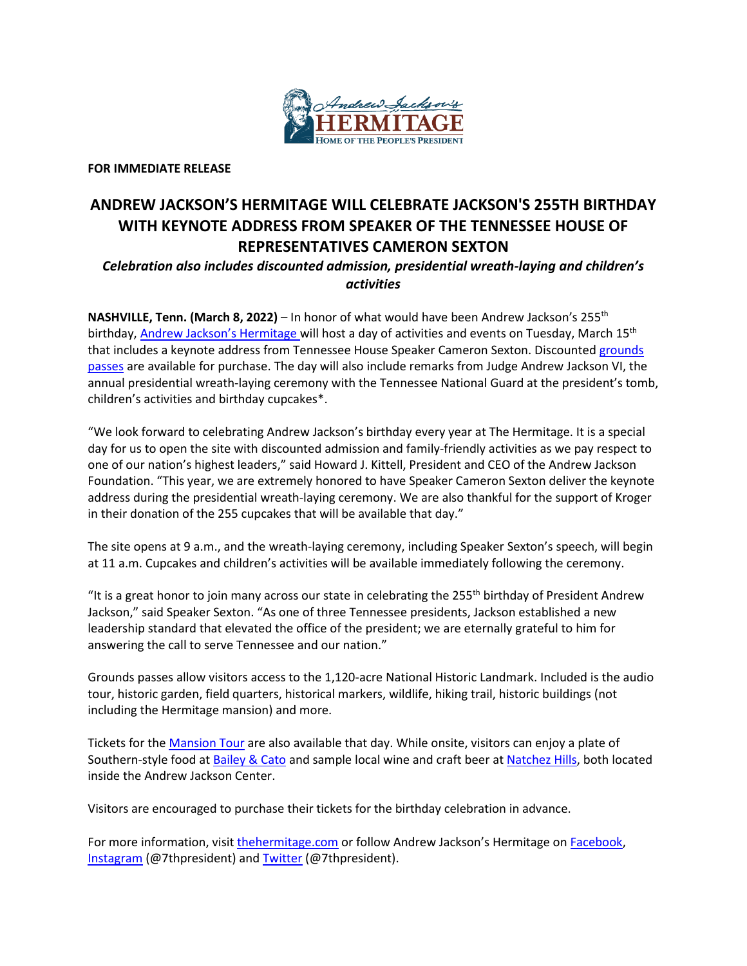

**FOR IMMEDIATE RELEASE**

## **ANDREW JACKSON'S HERMITAGE WILL CELEBRATE JACKSON'S 255TH BIRTHDAY WITH KEYNOTE ADDRESS FROM SPEAKER OF THE TENNESSEE HOUSE OF REPRESENTATIVES CAMERON SEXTON**

## *Celebration also includes discounted admission, presidential wreath-laying and children's activities*

**NASHVILLE, Tenn. (March 8, 2022)** – In honor of what would have been Andrew Jackson's 255th birthday, [Andrew Jackson's Hermitage](https://thehermitage.com/) will host a day of activities and events on Tuesday, March 15<sup>th</sup> that includes a keynote address from Tennessee House Speaker Cameron Sexton. Discounted [grounds](https://thehermitage.com/visit/tours/hermitage-grounds-pass/)  [passes](https://thehermitage.com/visit/tours/hermitage-grounds-pass/) are available for purchase. The day will also include remarks from Judge Andrew Jackson VI, the annual presidential wreath-laying ceremony with the Tennessee National Guard at the president's tomb, children's activities and birthday cupcakes\*.

"We look forward to celebrating Andrew Jackson's birthday every year at The Hermitage. It is a special day for us to open the site with discounted admission and family-friendly activities as we pay respect to one of our nation's highest leaders," said Howard J. Kittell, President and CEO of the Andrew Jackson Foundation. "This year, we are extremely honored to have Speaker Cameron Sexton deliver the keynote address during the presidential wreath-laying ceremony. We are also thankful for the support of Kroger in their donation of the 255 cupcakes that will be available that day."

The site opens at 9 a.m., and the wreath-laying ceremony, including Speaker Sexton's speech, will begin at 11 a.m. Cupcakes and children's activities will be available immediately following the ceremony.

"It is a great honor to join many across our state in celebrating the 255<sup>th</sup> birthday of President Andrew Jackson," said Speaker Sexton. "As one of three Tennessee presidents, Jackson established a new leadership standard that elevated the office of the president; we are eternally grateful to him for answering the call to serve Tennessee and our nation."

Grounds passes allow visitors access to the 1,120-acre National Historic Landmark. Included is the audio tour, historic garden, field quarters, historical markers, wildlife, hiking trail, historic buildings (not including the Hermitage mansion) and more.

Tickets for th[e Mansion Tour](https://thehermitage.com/visit/tours/generals-tour/) are also available that day. While onsite, visitors can enjoy a plate of Southern-style food a[t Bailey & Cato](https://thehermitage.com/restaurant/) and sample local wine and craft beer a[t Natchez Hills,](https://thehermitage.com/hermitage-tasting-room/) both located inside the Andrew Jackson Center.

Visitors are encouraged to purchase their tickets for the birthday celebration in advance.

For more information, visi[t thehermitage.com](https://thehermitage.com/event/battle-of-new-orleans-commemoration/) or follow Andrew Jackson's Hermitage on [Facebook,](https://www.facebook.com/7thpresident) [Instagram](https://www.instagram.com/7thpresident/) (@7thpresident) and [Twitter](https://twitter.com/7thpresident) (@7thpresident).